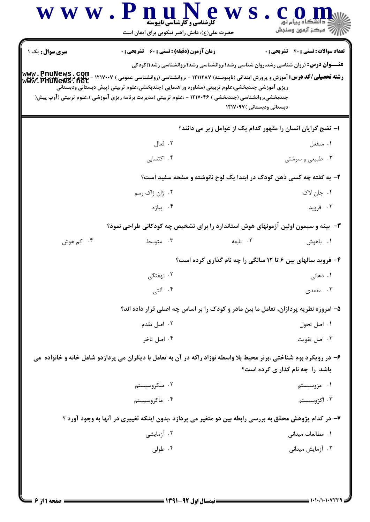| <b>سری سوال :</b> یک ۱ | <b>زمان آزمون (دقیقه) : تستی : 60 ٪ تشریحی : 0</b>                                                                                                                                                                                                                                                 | <b>تعداد سوالات : تستی : 40 قشریحی : 0</b>                  |
|------------------------|----------------------------------------------------------------------------------------------------------------------------------------------------------------------------------------------------------------------------------------------------------------------------------------------------|-------------------------------------------------------------|
|                        | <b>عنـــوان درس:</b> (روان شناسی رشد،روان شناسی رشد۱،روانشناسی رشد۱،روانشناسی رشد۱(کودکی<br>ریزی آموزشی چندبخشی،علوم تربیتی (مشاوره وراهنمایی )چندبخشی،علوم تربیتی (پیش دبستانی ودبستانی<br>چندبخشی،روانشناسی (چندبخشی ) ۱۲۱۷۰۴۶ - ،علوم تربیتی (مدیریت برنامه ریزی آموزشی )،علوم تربیتی (آوپ پیش( | دبستانی ودبستانی )۱۲۱۷۰۹۷                                   |
|                        |                                                                                                                                                                                                                                                                                                    | ا– نضج گرایان انسان را مقهور کدام یک از عوامل زیر می دانند؟ |
|                        | ۰۲ فعال                                                                                                                                                                                                                                                                                            | ۰۱ منفعل                                                    |
|                        | ۰۴ اکتسابی                                                                                                                                                                                                                                                                                         | ۰۳ طبیعی و سرشتی                                            |
|                        | ۲- به گفته چه کسی ذهن کودک در ابتدا یک لوح نانوشته و صفحه سفید است؟                                                                                                                                                                                                                                |                                                             |
|                        | ۰۲ ژان ژاک رسو                                                                                                                                                                                                                                                                                     | ۰۱ جان لاک                                                  |
|                        | ۰۴ پياژه                                                                                                                                                                                                                                                                                           | ۰۳ فروید                                                    |
|                        | ۳- بینه و سیمون اولین آزمونهای هوش استاندارد را برای تشخیص چه کودکانی طراحی نمود؟                                                                                                                                                                                                                  |                                                             |
| ۰۴ کم هوش              | ۰۲ نابغه<br>۰۳ متوسط                                                                                                                                                                                                                                                                               | ۰۱ باهوش                                                    |
|                        |                                                                                                                                                                                                                                                                                                    | ۴- فروید سالهای بین ۶ تا ۱۲ سالگی را چه نام گذاری کرده است؟ |
|                        | ۲. نهفتگے                                                                                                                                                                                                                                                                                          | ۰۱ دهان <sub>ی</sub>                                        |
|                        | ۰۴ آلتی                                                                                                                                                                                                                                                                                            | ۰۳ مقعدی                                                    |
|                        | ۵– امروزه نظریه پردازان، تعامل ما بین مادر و کودک را بر اساس چه اصلی قرار داده اند؟                                                                                                                                                                                                                |                                                             |
|                        | ۰۲ اصل تقدم                                                                                                                                                                                                                                                                                        | ۰۱ اصل تحول                                                 |
|                        | ۰۴ اصل تاخر                                                                                                                                                                                                                                                                                        | ۰۳ اصل تقويت                                                |
|                        | ۶– در رویکرد بوم شناختی ،برنر محیط بلا واسطه نوزاد راکه در آن به تعامل با دیگران می پردازدو شامل خانه و خانواده می                                                                                                                                                                                 |                                                             |
|                        |                                                                                                                                                                                                                                                                                                    | باشد را چه نام گذار ی کرده است؟                             |
|                        | ۰۲ میکروسیستم                                                                                                                                                                                                                                                                                      | ۰۱ مزوسیستم                                                 |
|                        | ۰۴ ماکروسیستم                                                                                                                                                                                                                                                                                      | ۰۳ اگزوسیستم                                                |
|                        | ۷– در کدام پژوهش محقق به بررسی رابطه بین دو متغیر می پردازد ،بدون اینکه تغییری در آنها به وجود آورد ؟                                                                                                                                                                                              |                                                             |
|                        | ۰۲ آزمایشی                                                                                                                                                                                                                                                                                         | ٠١. مطالعات ميداني                                          |
|                        | ۰۴ طولی                                                                                                                                                                                                                                                                                            | ۰۳ آزمایش میدانی                                            |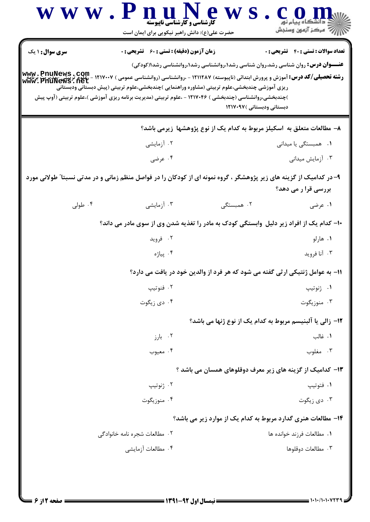|                        | حضرت علی(ع): دانش راهبر نیکویی برای ایمان است                                                                                                                                                                                                                             |                                                                                          | أأآت مرکز آزمون وسنجش               |
|------------------------|---------------------------------------------------------------------------------------------------------------------------------------------------------------------------------------------------------------------------------------------------------------------------|------------------------------------------------------------------------------------------|-------------------------------------|
| <b>سری سوال : ۱ یک</b> | <b>زمان آزمون (دقیقه) : تستی : 60 ٪ تشریحی : 0</b>                                                                                                                                                                                                                        |                                                                                          | تعداد سوالات : تستى : 40 تشريحي : 0 |
|                        |                                                                                                                                                                                                                                                                           | <b>عنـــوان درس:</b> روان شناسی رشد،روان شناسی رشد۱،روانشناسی رشد۱،روانشناسی رشد۱(کودکی) |                                     |
|                        | <b>ر شته تحصیلی/کد درس:</b> آموزش و پرورش ابتدائی (ناپیوسته) ۱۲۱۱۲۸۷ - ،روانشناسی (روانشناسی عمومی ) ۱۲۱۷۰۰۷ - ،علوم تربیتی -مدیریت برنامه<br><b>www - PriuNews - net</b><br>ریزی آموزشی چندبخشی،علوم تربیتی (مشاوره وراهنمایی )چندبخشی،علوم تربیتی (پیش دبستانی ودبستانی |                                                                                          |                                     |
|                        | )چندبخشی،روانشناسی (چندبخشی ) ۱۲۱۷۰۴۶ - ،علوم تربیتی (مدیریت برنامه ریزی آموزشی )،علوم تربیتی (آوپ پیش                                                                                                                                                                    |                                                                                          |                                     |
|                        |                                                                                                                                                                                                                                                                           | دبستانی ودبستانی ) ۱۲۱۷۰۹۷                                                               |                                     |
|                        |                                                                                                                                                                                                                                                                           | ۸– مطالعات متعلق به اسکیلز مربوط به کدام یک از نوع پژوهشها زیرمی باشد؟                   |                                     |
|                        | ۰۲ آزمایشی                                                                                                                                                                                                                                                                |                                                                                          | ۰۱ همبستگی یا میدانی                |
|                        | ۰۴ عرضی                                                                                                                                                                                                                                                                   |                                                                                          | ۰۳ آزمایش میدانی                    |
|                        | ۹– در کدامیک از گزینه های زیر پژوهشگر ، گروه نمونه ای از کودکان را در فواصل منظم زمانی و در مدتی نسبتا ً طولانی مورد                                                                                                                                                      |                                                                                          |                                     |
|                        |                                                                                                                                                                                                                                                                           |                                                                                          | بررسی قرا ر می دهد؟                 |
| ۰۴ طولی $\mathsf{f}$   | ۰۳ آزمایشی                                                                                                                                                                                                                                                                | ۰۲ همبستگی                                                                               | ۰۱ عرضی                             |
|                        | ۱۰– کدام یک از افراد زیر دلیل وابستگی کودک به مادر را تغذیه شدن وی از سوی مادر می داند؟                                                                                                                                                                                   |                                                                                          |                                     |
|                        | ۰۲ فروید                                                                                                                                                                                                                                                                  |                                                                                          | ۰۱ هارلو                            |
|                        | ۰۴ پياژه                                                                                                                                                                                                                                                                  |                                                                                          | ۰۳ آنا فرويد                        |
|                        |                                                                                                                                                                                                                                                                           | 1۱- به عوامل ژنتیکی ارثی گفته می شود که هر فرد از والدین خود در یافت می دارد؟            |                                     |
|                        | ۰۲ فنوتيپ                                                                                                                                                                                                                                                                 |                                                                                          | ۰۱ ژنوتيپ                           |
|                        | ۰۴ دی زیگوت                                                                                                                                                                                                                                                               |                                                                                          | ۰۳ منوزیگوت                         |
|                        |                                                                                                                                                                                                                                                                           | ۱۲– زالی یا آلبنیسم مربوط به کدام یک از نوع ژنها می باشد؟                                |                                     |
|                        | ۰۲ بارز                                                                                                                                                                                                                                                                   |                                                                                          | ۰۱ غالب                             |
|                        | ۰۴ معيوب                                                                                                                                                                                                                                                                  |                                                                                          | ۰۳ مغلوب                            |
|                        |                                                                                                                                                                                                                                                                           | ۱۳– کدامیک از گزینه های زیر معرف دوقلوهای همسان می باشد ؟                                |                                     |
|                        | ۰۲ ژنوتيپ                                                                                                                                                                                                                                                                 |                                                                                          | ۰۱ فتوتيپ                           |
|                        | ۰۴ منوزیگوت                                                                                                                                                                                                                                                               |                                                                                          | ۰۳ دی زیگوت                         |
|                        |                                                                                                                                                                                                                                                                           | ۱۴– مطالعات هنری گدارد مربوط به کدام یک از موارد زیر می باشد؟                            |                                     |
|                        | ۰۲ مطالعات شجره نامه خانوادگی                                                                                                                                                                                                                                             |                                                                                          | ٠١. مطالعات فرزند خوانده ها         |
|                        | ۰۴ مطالعات آزمایشی                                                                                                                                                                                                                                                        |                                                                                          | ۰۳ مطالعات دوقلوها                  |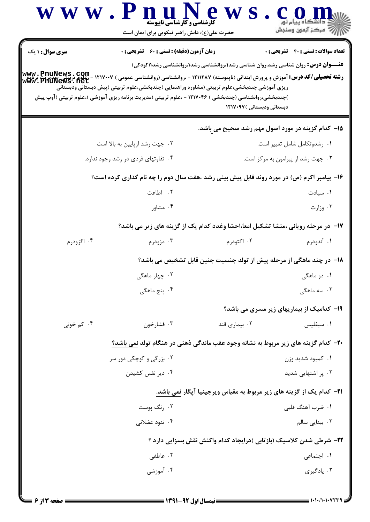|                        |                                                                                                                                                                                                                                            | حضرت علی(ع): دانش راهبر نیکویی برای ایمان است                                            |                                            |
|------------------------|--------------------------------------------------------------------------------------------------------------------------------------------------------------------------------------------------------------------------------------------|------------------------------------------------------------------------------------------|--------------------------------------------|
| <b>سری سوال : ۱ یک</b> | <b>زمان آزمون (دقیقه) : تستی : 60 ٪ تشریحی : 0</b>                                                                                                                                                                                         |                                                                                          | <b>تعداد سوالات : تستی : 40 قشریحی : 0</b> |
|                        | <b>رشته تحصیلی/کد درس:</b> آموزش و پرورش ابتدائی (ناپیوسته) ۱۲۱۱۲۸۷ - ،روانشناسی (روانشناسی عمومی ) ۱۲۱۷۰۰۷ - ،علوم تربیتی برنامه<br><b>رشته تحصیلی/کد درس:</b> آموزش و پرورش ابتدائی (ناپیوسته) ۱۲۱۱۲۸۷ - ،روانشناسی (روانشناسی عمومی ) w | <b>عنـــوان درس:</b> روان شناسی رشد،روان شناسی رشد۱،روانشناسی رشد۱،روانشناسی رشد۱(کودکی) |                                            |
|                        | ریزی آموزشی چندبخشی،علوم تربیتی (مشاوره وراهنمایی )چندبخشی،علوم تربیتی (پیش دبستانی ودبستانی                                                                                                                                               |                                                                                          |                                            |
|                        | )چندبخشی،روانشناسی (چندبخشی ) ۱۲۱۷۰۴۶ - ،علوم تربیتی (مدیریت برنامه ریزی آموزشی )،علوم تربیتی (آوپ پیش                                                                                                                                     | دبستانی ودبستانی )۱۲۱۷۰۹۷                                                                |                                            |
|                        |                                                                                                                                                                                                                                            |                                                                                          |                                            |
|                        |                                                                                                                                                                                                                                            | ۱۵– کدام گزینه در مورد اصول مهم رشد صحیح می باشد.                                        |                                            |
|                        | ۰۲ جهت رشد ازپایین به بالا است                                                                                                                                                                                                             |                                                                                          | ٠١ رشدوتكامل شامل تغيير است.               |
|                        | ۰۴ تفاوتهای فردی در رشد وجود ندارد.                                                                                                                                                                                                        |                                                                                          | ۰۳ جهت رشد از پیرامون به مرکز است.         |
|                        | ۱۶- پیامبر اکرم (ص) در مورد روند قابل پیش بینی رشد ،هفت سال دوم را چه نام گذاری کرده است؟                                                                                                                                                  |                                                                                          |                                            |
|                        | ۲. اطاعت                                                                                                                                                                                                                                   |                                                                                          | ۰۱ سیادت                                   |
|                        | ۰۴ مشاور                                                                                                                                                                                                                                   |                                                                                          | ۰۳ وزارت                                   |
|                        |                                                                                                                                                                                                                                            | <b>۱۷</b> - در مرحله رویانی ،منشا تشکیل امعا،احشا وغدد کدام یک از گزینه های زیر می باشد؟ |                                            |
| ۰۴ اگزودرم             | ۰۳ مزودرم                                                                                                                                                                                                                                  | ۰۲ اکتودرم                                                                               | ۰۱ آندودرم                                 |
|                        |                                                                                                                                                                                                                                            | ۱۸– در چند ماهگی از مرحله پیش از تولد جنسیت جنین قابل تشخیص می باشد؟                     |                                            |
|                        | ۰۲ چهار ماهگی                                                                                                                                                                                                                              |                                                                                          | ۰۱ دو ماهگی                                |
|                        | ۰۴ پنج ماهگی                                                                                                                                                                                                                               |                                                                                          | ۰۳ سه ماهگی                                |
|                        |                                                                                                                                                                                                                                            | 19- کدامیک از بیماریهای زیر مسری می باشد؟                                                |                                            |
| ۰۴ کم خونی             | ۰۳ فشارخون                                                                                                                                                                                                                                 | ۰۲ بیماری قند                                                                            | ۰۱ سیفلیس                                  |
|                        | ۲۰- کدام گزینه های زیر مربوط به نشانه وجود عقب ماندگی ذهنی در هنگام تولد نمی باشد؟                                                                                                                                                         |                                                                                          |                                            |
|                        | ۰۲ بزرگی و کوچکی دور سر                                                                                                                                                                                                                    |                                                                                          | ۰۱ کمبود شدید وزن                          |
|                        | ۰۴ دیر نفس کشیدن                                                                                                                                                                                                                           |                                                                                          | ۰۳ پر اشتهایی شدید                         |
|                        |                                                                                                                                                                                                                                            | <b>۲۱</b> - کدام یک از گزینه های زیر مربوط به مقیاس ویرجینیا آپگار نمی باشد.             |                                            |
|                        | ۰۲ رنگ پوست                                                                                                                                                                                                                                |                                                                                          | ۰۱ ضرب آهنگ قلبی                           |
|                        | ۰۴ تنود عضلانی                                                                                                                                                                                                                             |                                                                                          | ۰۳ بینایی سالم                             |
|                        |                                                                                                                                                                                                                                            | ۲۲- شرطی شدن کلاسیک (بازتابی )درایجاد کدام واکنش نقش بسزایی دارد ؟                       |                                            |
|                        | ۰۲ عاطفی                                                                                                                                                                                                                                   |                                                                                          | ۰۱ اجتماعی                                 |
|                        |                                                                                                                                                                                                                                            |                                                                                          |                                            |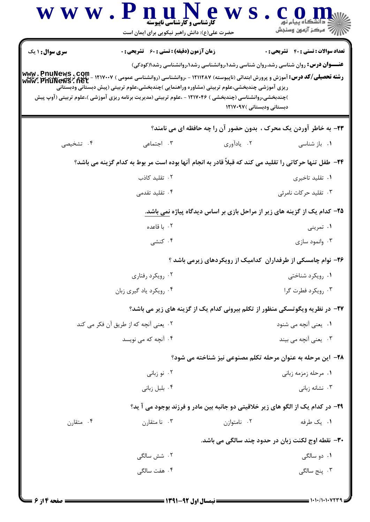| <b>سری سوال : ۱ یک</b> | <b>زمان آزمون (دقیقه) : تستی : 60 ٪ تشریحی : 0</b>                                                                                                                                                                                         |                                                                                          | <b>تعداد سوالات : تستی : 40 قشریحی : 0</b> |
|------------------------|--------------------------------------------------------------------------------------------------------------------------------------------------------------------------------------------------------------------------------------------|------------------------------------------------------------------------------------------|--------------------------------------------|
|                        | <b>رشته تحصیلی/کد درس:</b> آموزش و پرورش ابتدائی (ناپیوسته) ۱۲۱۱۲۸۷ - ،روانشناسی (روانشناسی عمومی ) ۱۲۱۷۰۰۷ - ،علوم تربیتی برنامه<br><b>رشته تحصیلی/کد درس:</b> آموزش و پرورش ابتدائی (ناپیوسته) ۱۲۱۱۲۸۷ - ،روانشناسی (روانشناسی عمومی ) w | <b>عنـــوان درس:</b> روان شناسی رشد،روان شناسی رشد۱،روانشناسی رشد۱،روانشناسی رشد۱(کودکی) |                                            |
|                        | ریزی آموزشی چندبخشی،علوم تربیتی (مشاوره وراهنمایی )چندبخشی،علوم تربیتی (پیش دبستانی ودبستانی                                                                                                                                               |                                                                                          |                                            |
|                        | )چندبخشی،روانشناسی (چندبخشی ) ۱۲۱۷۰۴۶ - ،علوم تربیتی (مدیریت برنامه ریزی آموزشی )،علوم تربیتی (آوپ پیش                                                                                                                                     | دبستانی ودبستانی )۱۲۱۷۰۹۷                                                                |                                            |
|                        |                                                                                                                                                                                                                                            |                                                                                          |                                            |
|                        |                                                                                                                                                                                                                                            | ٢٣- به خاطر آوردن يک محرک ، بدون حضور آن را چه حافظه اي مي نامند؟                        |                                            |
| ۰۴ تشخیصی              | ۰۳ اجتماعی                                                                                                                                                                                                                                 | ۰۲ يادآوري                                                                               | ۰۱ باز شناسی                               |
|                        | ۲۴– طفل تنها حرکاتی را تقلید می کند که قبلاً قادر به انجام آنها بوده است مر بوط به کدام گزینه می باشد؟                                                                                                                                     |                                                                                          |                                            |
|                        | ۰۲ تقلید کاذب                                                                                                                                                                                                                              |                                                                                          | ۰۱ تقلید تاخیری                            |
|                        | ۰۴ تقلید تقدمی                                                                                                                                                                                                                             |                                                                                          | ۰۳ تقلید حرکات نامرئی                      |
|                        |                                                                                                                                                                                                                                            | <b>۲۵</b> - کدام یک از گزینه های زیر از مراحل بازی بر اساس دیدگاه پیاژه نمی باشد.        |                                            |
|                        | ۰۲ با قاعده                                                                                                                                                                                                                                |                                                                                          | ۰۱ تمرینی                                  |
|                        | ۰۴ کنشی                                                                                                                                                                                                                                    |                                                                                          | ۰۳ وانمود سازی                             |
|                        |                                                                                                                                                                                                                                            | ۲۶- نوام چامسکی از طرفداران کدامیک از رویکردهای زیرمی باشد ؟                             |                                            |
|                        | ۰۲ رویکرد رفتاری                                                                                                                                                                                                                           |                                                                                          | ۰۱ رویکرد شناختی                           |
|                        | ۰۴ رویکرد یاد گیری زبان                                                                                                                                                                                                                    |                                                                                          | ۰۳ رویکرد فطرت گرا                         |
|                        |                                                                                                                                                                                                                                            | ۲۷- در نظریه ویگوتسکی منظور از تکلم بیرونی کدام یک از گزینه های زیر می باشد؟             |                                            |
|                        | ۰۲ یعنی آنچه که از طریق آن فکر می کند                                                                                                                                                                                                      |                                                                                          | ۰۱ یعنی آنچه می شنود                       |
|                        | ۰۴ آنچه که می نویسد                                                                                                                                                                                                                        |                                                                                          | ۰۳ <sub>.</sub> یعنی آنچه می بیند          |
|                        |                                                                                                                                                                                                                                            | ۲۸- این مرحله به عنوان مرحله تکلم مصنوعی نیز شناخته می شود؟                              |                                            |
|                        | ۰۲ نو زبانی                                                                                                                                                                                                                                |                                                                                          | ۰۱ مرحله زمزمه زبانی                       |
|                        | ۰۴ بلبل زبانی                                                                                                                                                                                                                              |                                                                                          | ۰۳ نشانه زبانی                             |
|                        |                                                                                                                                                                                                                                            | ۲۹- در کدام یک از الگو های زیر خلاقیتی دو جانبه بین مادر و فرزند بوجود می آ ید؟          |                                            |
| ۰۴ متقارن              | ۰۳ نا متقارن                                                                                                                                                                                                                               | ٠٢ نامتوازن                                                                              | ۰۱ یک طرفه                                 |
|                        |                                                                                                                                                                                                                                            |                                                                                          |                                            |
|                        |                                                                                                                                                                                                                                            | <b>۳۰</b> - نقطه اوج لکنت زبان در حدود چند سالگی می باشد.                                |                                            |
|                        | ۰۲ شش سالگ <i>ی</i>                                                                                                                                                                                                                        |                                                                                          | ۰۱ دو سالگی                                |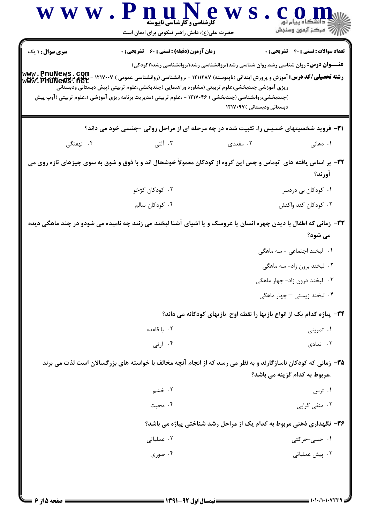|                        | کارشناسی و کارشناسی ناپیوسته<br>حضرت علی(ع): دانش راهبر نیکویی برای ایمان است                                                                                                                                                                                                                                                                                                              | www.PnuNew                                                                               | ڪ دانشڪاه پيام نور<br>  <i>¶ه مرڪ</i> ز آزمون وسنڊش |
|------------------------|--------------------------------------------------------------------------------------------------------------------------------------------------------------------------------------------------------------------------------------------------------------------------------------------------------------------------------------------------------------------------------------------|------------------------------------------------------------------------------------------|-----------------------------------------------------|
| <b>سری سوال : ۱ یک</b> | <b>زمان آزمون (دقیقه) : تستی : 60 ٪ تشریحی : 0</b>                                                                                                                                                                                                                                                                                                                                         | <b>عنـــوان درس:</b> روان شناسی رشد،روان شناسی رشد۱،روانشناسی رشد۱،روانشناسی رشد۱(کودکی) | <b>تعداد سوالات : تستی : 40 قشریحی : 0</b>          |
|                        | <b>رشته تحصیلی/کد درس:</b> آموزش و پرورش ابتدائی (ناپیوسته) ۱۲۱۱۲۸۷ - ،روانشناسی (روانشناسی عمومی ) ۱۲۱۷۰۰۷ - ،علوم تربیح<br><b>www . PriuNews . net</b><br>www . PriuNews . net<br>ریزی آموزشی چندبخشی،علوم تربیتی (مشاوره وراهنمایی )چندبخشی،علوم تربیتی (پیش دبستانی ودبستانی<br>)چندبخشی،روانشناسی (چندبخشی ) ۱۲۱۷۰۴۶ - ،علوم تربیتی (مدیریت برنامه ریزی آموزشی )،علوم تربیتی (آوپ پیش | دبستانی ودبستانی )۱۲۱۷۰۹۷                                                                |                                                     |
|                        | <b>۳۱</b> - فروید شخصیتهای خسیس را، تثبیت شده در چه مرحله ای از مراحل روانی -جنسی خود می داند؟                                                                                                                                                                                                                                                                                             |                                                                                          |                                                     |
| ۰۴ نهفتگی              | ۰۳ آلتی                                                                                                                                                                                                                                                                                                                                                                                    | ۲. مقعدی                                                                                 | ۰۱ دهانی                                            |
|                        | ۳۲- بر اساس یافته های توماس و چس این گروه از کودکان معمولاً خوشحال اند و با ذوق و شوق به سوی چیزهای تازه روی می                                                                                                                                                                                                                                                                            |                                                                                          | آورند؟                                              |
|                        | ۰۲ کودکان کژخو                                                                                                                                                                                                                                                                                                                                                                             |                                                                                          | ۰۱ کودکان بی دردسر                                  |
|                        | ۰۴ کودکان سالم                                                                                                                                                                                                                                                                                                                                                                             |                                                                                          | ۰۳ کودکان کند واکنش                                 |
|                        | ۳۳- زمانی که اطفال با دیدن چهره انسان یا عروسک و یا اشیای آشنا لبخند می زنند چه نامیده می شودو در چند ماهگی دیده                                                                                                                                                                                                                                                                           |                                                                                          | می شود؟                                             |
|                        |                                                                                                                                                                                                                                                                                                                                                                                            |                                                                                          | <b>۱.</b> لبخند اجتماعی - سه ماهگی                  |
|                        |                                                                                                                                                                                                                                                                                                                                                                                            |                                                                                          | ۲. لبخند برون زاد- سه ماهگی                         |
|                        |                                                                                                                                                                                                                                                                                                                                                                                            |                                                                                          | ۰۳ لبخند درون زاد- چهار ماهگی                       |
|                        |                                                                                                                                                                                                                                                                                                                                                                                            |                                                                                          | ۰۴ لبخند زیستی – چهار ماهگی                         |
|                        |                                                                                                                                                                                                                                                                                                                                                                                            | ۳۴− پیاژه کدام یک از انواع بازیها را نقطه اوج  بازیهای کودکانه می داند؟                  |                                                     |
|                        | ۰۲ با قاعده                                                                                                                                                                                                                                                                                                                                                                                |                                                                                          | ۰۱ تمرینی                                           |
|                        | ۰۴ ارثی                                                                                                                                                                                                                                                                                                                                                                                    |                                                                                          | ۰۳ نمادی                                            |
|                        | ۳۵- زمانی که کودکان ناسازگارند و به نظر می رسد که از انجام آنچه مخالف با خواسته های بزرگسالان است لذت می برند                                                                                                                                                                                                                                                                              |                                                                                          | ،مربوط به کدام گزینه می باشد؟                       |
|                        | ۰۲ خشم                                                                                                                                                                                                                                                                                                                                                                                     |                                                                                          | ۰۱ ترس                                              |
|                        | ۰۴ محبت                                                                                                                                                                                                                                                                                                                                                                                    |                                                                                          | ۰۳ منفی گرایی                                       |
|                        |                                                                                                                                                                                                                                                                                                                                                                                            | ۳۶- نگهداری ذهنی مربوط به کدام یک از مراحل رشد شناختی پیاژه می باشد؟                     |                                                     |
|                        | ۰۲ عملیاتی                                                                                                                                                                                                                                                                                                                                                                                 |                                                                                          | ۱. حسی-حرکتی                                        |
|                        |                                                                                                                                                                                                                                                                                                                                                                                            |                                                                                          |                                                     |